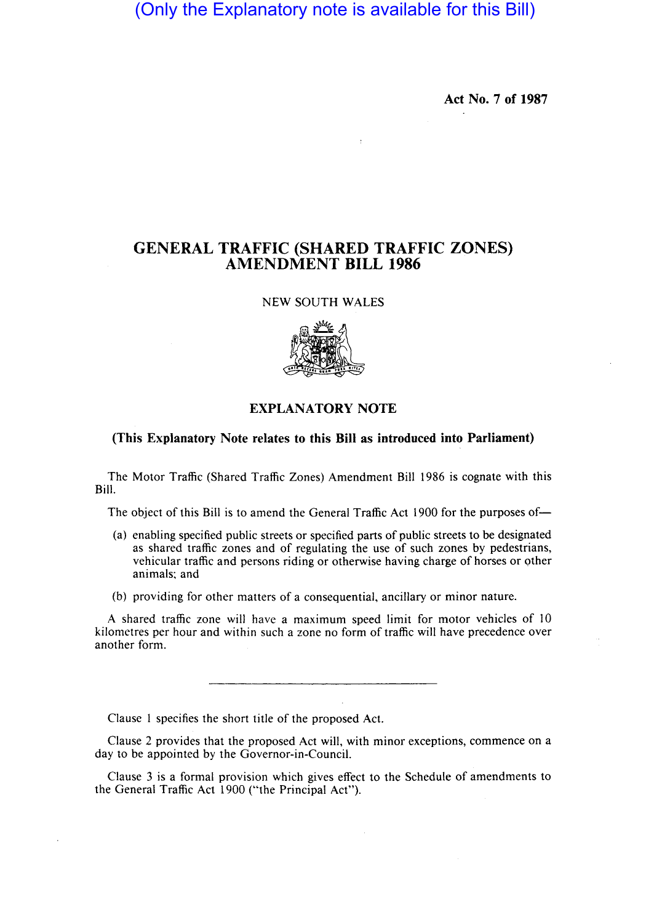(Only the Explanatory note is available for this Bill)

Act No. 7 of 1987

## GENERAL TRAFFIC (SHARED TRAFFIC ZONES) AMENDMENT BILL 1986

## NEW SOUTH WALES



## EXPLANATORY NOTE

## .(This Explanatory Note relates to this Bill as introduced into Parliament)

The Motor Traffic (Shared Traffic Zones) Amendment Bill 1986 is cognate with this Bill.

The object of this Bill is to amend the General Traffic Act 1900 for the purposes of-

- (a) enabling specified public streets or specified parts of public streets to be designated as shared traffic zones and of regulating the use of such zones by pedestrians, vehicular traffic and persons riding or otherwise having charge of horses or other animals; and
- (b) providing for other matters of a consequential, ancillary or minor nature.

A shared traffic zone will have a maximum speed limit for motor vehicles of 10 kilometres per hour and within such a zone no form of traffic will have precedence over another form.

Clause I specifies the short title of the proposed Act.

Clause 2 provides that the proposed Act will, with minor exceptions, commence on a day to be appointed by the Governor-in-Council.

Clause 3 is a formal provision which gives effect to the Schedule of amendments to the General Traffic Act 1900 ("the Principal Act").